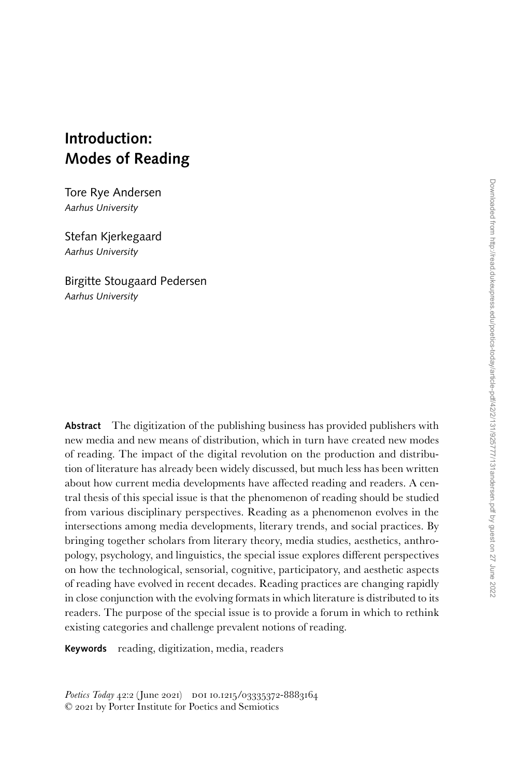# **Introduction: Modes of Reading**

Tore Rye Andersen *Aarhus University*

Stefan Kjerkegaard *Aarhus University*

Birgitte Stougaard Pedersen *Aarhus University*

**Abstract** The digitization of the publishing business has provided publishers with new media and new means of distribution, which in turn have created new modes of reading. The impact of the digital revolution on the production and distribution of literature has already been widely discussed, but much less has been written about how current media developments have affected reading and readers. A central thesis of this special issue is that the phenomenon of reading should be studied from various disciplinary perspectives. Reading as a phenomenon evolves in the intersections among media developments, literary trends, and social practices. By bringing together scholars from literary theory, media studies, aesthetics, anthropology, psychology, and linguistics, the special issue explores different perspectives on how the technological, sensorial, cognitive, participatory, and aesthetic aspects of reading have evolved in recent decades. Reading practices are changing rapidly in close conjunction with the evolving formats in which literature is distributed to its readers. The purpose of the special issue is to provide a forum in which to rethink existing categories and challenge prevalent notions of reading.

**Keywords** reading, digitization, media, readers

Poetics Today 42:2 (June 2021) DOI 10.1215/03335372-8883164 © 2021 by Porter Institute for Poetics and Semiotics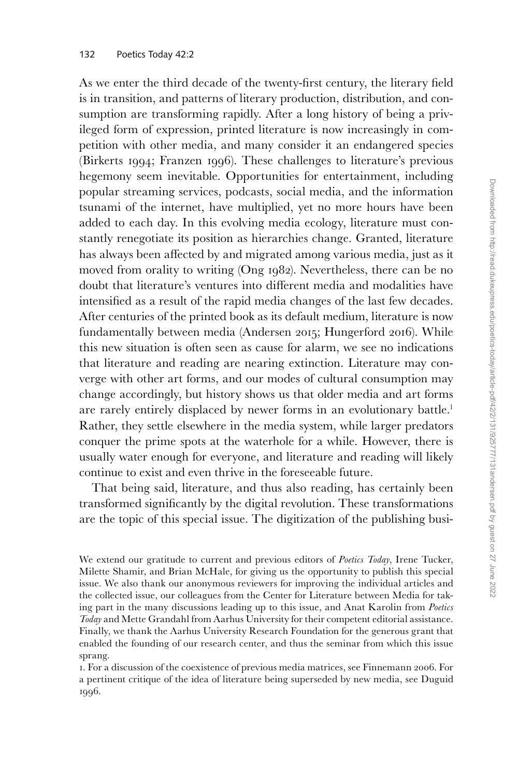As we enter the third decade of the twenty-first century, the literary field is in transition, and patterns of literary production, distribution, and consumption are transforming rapidly. After a long history of being a privileged form of expression, printed literature is now increasingly in competition with other media, and many consider it an endangered species (Birkerts 1994; Franzen 1996). These challenges to literature's previous hegemony seem inevitable. Opportunities for entertainment, including popular streaming services, podcasts, social media, and the information tsunami of the internet, have multiplied, yet no more hours have been added to each day. In this evolving media ecology, literature must constantly renegotiate its position as hierarchies change. Granted, literature has always been affected by and migrated among various media, just as it moved from orality to writing (Ong 1982). Nevertheless, there can be no doubt that literature's ventures into different media and modalities have intensified as a result of the rapid media changes of the last few decades. After centuries of the printed book as its default medium, literature is now fundamentally between media (Andersen 2015; Hungerford 2016). While this new situation is often seen as cause for alarm, we see no indications that literature and reading are nearing extinction. Literature may converge with other art forms, and our modes of cultural consumption may change accordingly, but history shows us that older media and art forms are rarely entirely displaced by newer forms in an evolutionary battle.<sup>1</sup> Rather, they settle elsewhere in the media system, while larger predators conquer the prime spots at the waterhole for a while. However, there is usually water enough for everyone, and literature and reading will likely continue to exist and even thrive in the foreseeable future.

That being said, literature, and thus also reading, has certainly been transformed significantly by the digital revolution. These transformations are the topic of this special issue. The digitization of the publishing busi-

We extend our gratitude to current and previous editors of *Poetics Today*, Irene Tucker, Milette Shamir, and Brian McHale, for giving us the opportunity to publish this special issue. We also thank our anonymous reviewers for improving the individual articles and the collected issue, our colleagues from the Center for Literature between Media for taking part in the many discussions leading up to this issue, and Anat Karolin from *Poetics Today* and Mette Grandahl from Aarhus University for their competent editorial assistance. Finally, we thank the Aarhus University Research Foundation for the generous grant that enabled the founding of our research center, and thus the seminar from which this issue sprang.

1. For a discussion of the coexistence of previous media matrices, see Finnemann 2006. For a pertinent critique of the idea of literature being superseded by new media, see Duguid 1996.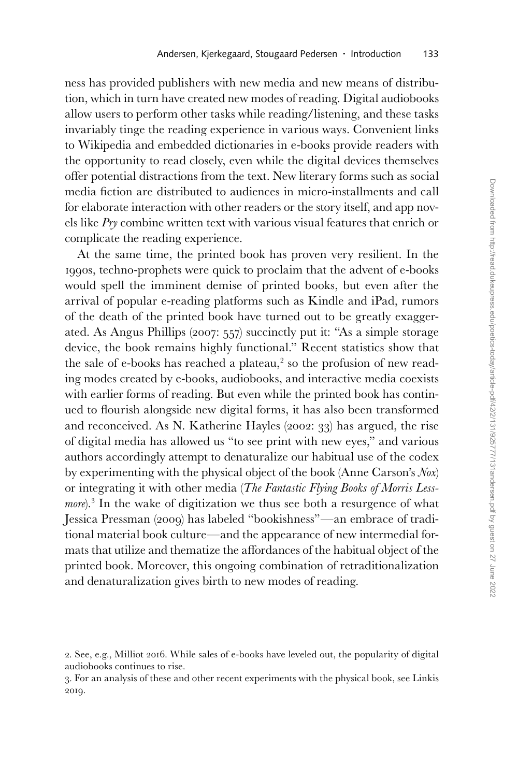ness has provided publishers with new media and new means of distribution, which in turn have created new modes of reading. Digital audiobooks allow users to perform other tasks while reading/listening, and these tasks invariably tinge the reading experience in various ways. Convenient links to Wikipedia and embedded dictionaries in e-books provide readers with the opportunity to read closely, even while the digital devices themselves offer potential distractions from the text. New literary forms such as social media fiction are distributed to audiences in micro-installments and call for elaborate interaction with other readers or the story itself, and app novels like *Pry* combine written text with various visual features that enrich or complicate the reading experience.

At the same time, the printed book has proven very resilient. In the 1990s, techno-prophets were quick to proclaim that the advent of e-books would spell the imminent demise of printed books, but even after the arrival of popular e-reading platforms such as Kindle and iPad, rumors of the death of the printed book have turned out to be greatly exaggerated. As Angus Phillips (2007: 557) succinctly put it: "As a simple storage device, the book remains highly functional." Recent statistics show that the sale of e-books has reached a plateau,<sup>2</sup> so the profusion of new reading modes created by e-books, audiobooks, and interactive media coexists with earlier forms of reading. But even while the printed book has continued to flourish alongside new digital forms, it has also been transformed and reconceived. As N. Katherine Hayles (2002: 33) has argued, the rise of digital media has allowed us "to see print with new eyes," and various authors accordingly attempt to denaturalize our habitual use of the codex by experimenting with the physical object of the book (Anne Carson's *Nox*) or integrating it with other media (*The Fantastic Flying Books of Morris Less*more).<sup>3</sup> In the wake of digitization we thus see both a resurgence of what Jessica Pressman (2009) has labeled "bookishness"—an embrace of traditional material book culture—and the appearance of new intermedial formats that utilize and thematize the affordances of the habitual object of the printed book. Moreover, this ongoing combination of retraditionalization and denaturalization gives birth to new modes of reading.

<sup>2.</sup> See, e.g., Milliot 2016. While sales of e-books have leveled out, the popularity of digital audiobooks continues to rise.

<sup>3.</sup> For an analysis of these and other recent experiments with the physical book, see Linkis 2019.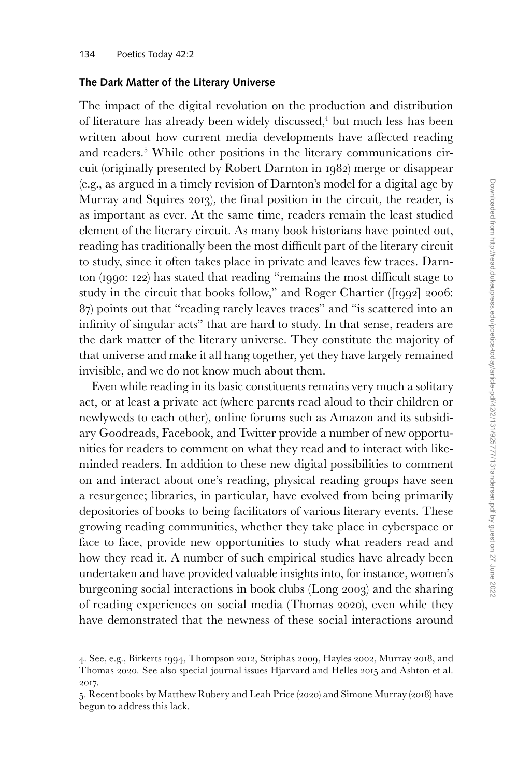## **The Dark Matter of the Literary Universe**

The impact of the digital revolution on the production and distribution of literature has already been widely discussed,<sup>4</sup> but much less has been written about how current media developments have affected reading and readers.5 While other positions in the literary communications circuit (originally presented by Robert Darnton in 1982) merge or disappear (e.g., as argued in a timely revision of Darnton's model for a digital age by Murray and Squires 2013), the final position in the circuit, the reader, is as important as ever. At the same time, readers remain the least studied element of the literary circuit. As many book historians have pointed out, reading has traditionally been the most difficult part of the literary circuit to study, since it often takes place in private and leaves few traces. Darnton (1990: 122) has stated that reading "remains the most difficult stage to study in the circuit that books follow," and Roger Chartier ([1992] 2006: 87) points out that "reading rarely leaves traces" and "is scattered into an infinity of singular acts" that are hard to study. In that sense, readers are the dark matter of the literary universe. They constitute the majority of that universe and make it all hang together, yet they have largely remained invisible, and we do not know much about them.

Even while reading in its basic constituents remains very much a solitary act, or at least a private act (where parents read aloud to their children or newlyweds to each other), online forums such as Amazon and its subsidiary Goodreads, Facebook, and Twitter provide a number of new opportunities for readers to comment on what they read and to interact with likeminded readers. In addition to these new digital possibilities to comment on and interact about one's reading, physical reading groups have seen a resurgence; libraries, in particular, have evolved from being primarily depositories of books to being facilitators of various literary events. These growing reading communities, whether they take place in cyberspace or face to face, provide new opportunities to study what readers read and how they read it. A number of such empirical studies have already been undertaken and have provided valuable insights into, for instance, women's burgeoning social interactions in book clubs (Long 2003) and the sharing of reading experiences on social media (Thomas 2020), even while they have demonstrated that the newness of these social interactions around

<sup>4.</sup> See, e.g., Birkerts 1994, Thompson 2012, Striphas 2009, Hayles 2002, Murray 2018, and Thomas 2020. See also special journal issues Hjarvard and Helles 2015 and Ashton et al. 2017.

<sup>5.</sup> Recent books by Matthew Rubery and Leah Price (2020) and Simone Murray (2018) have begun to address this lack.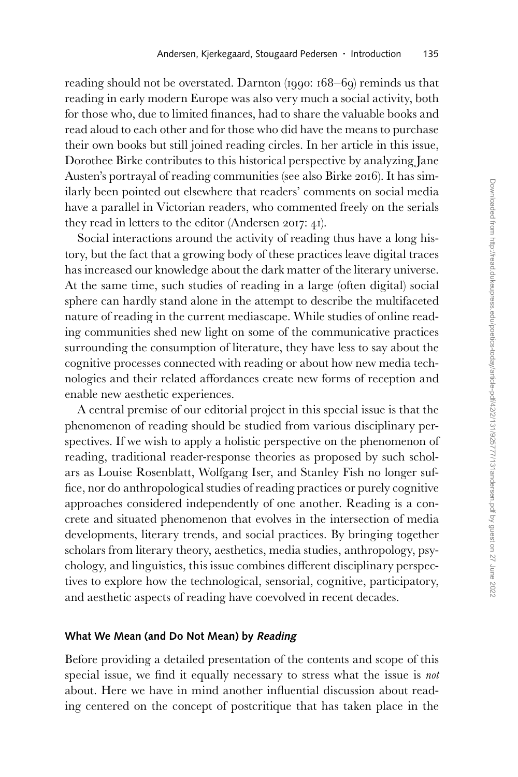reading should not be overstated. Darnton (1990: 168–69) reminds us that reading in early modern Europe was also very much a social activity, both for those who, due to limited finances, had to share the valuable books and read aloud to each other and for those who did have the means to purchase their own books but still joined reading circles. In her article in this issue, Dorothee Birke contributes to this historical perspective by analyzing Jane Austen's portrayal of reading communities (see also Birke 2016). It has similarly been pointed out elsewhere that readers' comments on social media have a parallel in Victorian readers, who commented freely on the serials they read in letters to the editor (Andersen 2017: 41).

Social interactions around the activity of reading thus have a long history, but the fact that a growing body of these practices leave digital traces has increased our knowledge about the dark matter of the literary universe. At the same time, such studies of reading in a large (often digital) social sphere can hardly stand alone in the attempt to describe the multifaceted nature of reading in the current mediascape. While studies of online reading communities shed new light on some of the communicative practices surrounding the consumption of literature, they have less to say about the cognitive processes connected with reading or about how new media technologies and their related affordances create new forms of reception and enable new aesthetic experiences.

A central premise of our editorial project in this special issue is that the phenomenon of reading should be studied from various disciplinary perspectives. If we wish to apply a holistic perspective on the phenomenon of reading, traditional reader-response theories as proposed by such scholars as Louise Rosenblatt, Wolfgang Iser, and Stanley Fish no longer suffice, nor do anthropological studies of reading practices or purely cognitive approaches considered independently of one another. Reading is a concrete and situated phenomenon that evolves in the intersection of media developments, literary trends, and social practices. By bringing together scholars from literary theory, aesthetics, media studies, anthropology, psychology, and linguistics, this issue combines different disciplinary perspectives to explore how the technological, sensorial, cognitive, participatory, and aesthetic aspects of reading have coevolved in recent decades.

#### **What We Mean (and Do Not Mean) by Reading**

Before providing a detailed presentation of the contents and scope of this special issue, we find it equally necessary to stress what the issue is *not* about. Here we have in mind another influential discussion about reading centered on the concept of postcritique that has taken place in the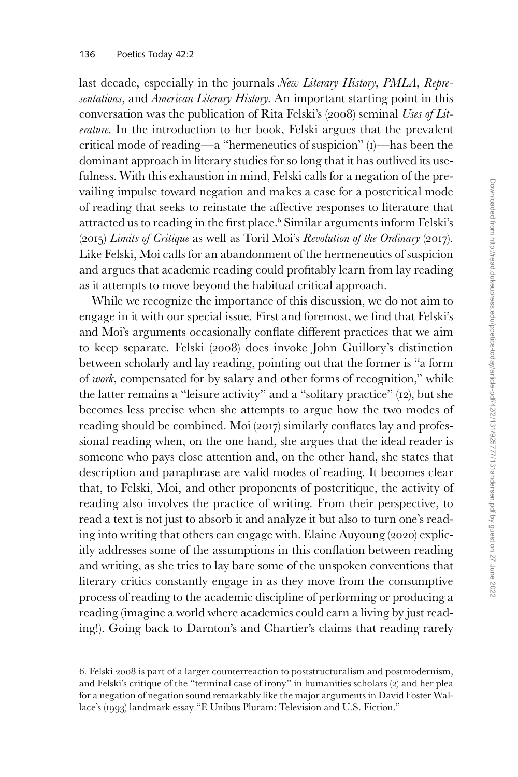last decade, especially in the journals *New Literary History*, *PMLA*, *Representations*, and *American Literary History*. An important starting point in this conversation was the publication of Rita Felski's (2008) seminal *Uses of Literature*. In the introduction to her book, Felski argues that the prevalent critical mode of reading—a "hermeneutics of suspicion" (1)—has been the dominant approach in literary studies for so long that it has outlived its usefulness. With this exhaustion in mind, Felski calls for a negation of the prevailing impulse toward negation and makes a case for a postcritical mode of reading that seeks to reinstate the affective responses to literature that attracted us to reading in the first place.6 Similar arguments inform Felski's (2015) *Limits of Critique* as well as Toril Moi's *Revolution of the Ordinary* (2017). Like Felski, Moi calls for an abandonment of the hermeneutics of suspicion and argues that academic reading could profitably learn from lay reading as it attempts to move beyond the habitual critical approach.

While we recognize the importance of this discussion, we do not aim to engage in it with our special issue. First and foremost, we find that Felski's and Moi's arguments occasionally conflate different practices that we aim to keep separate. Felski (2008) does invoke John Guillory's distinction between scholarly and lay reading, pointing out that the former is "a form of *work*, compensated for by salary and other forms of recognition," while the latter remains a "leisure activity" and a "solitary practice" (12), but she becomes less precise when she attempts to argue how the two modes of reading should be combined. Moi (2017) similarly conflates lay and professional reading when, on the one hand, she argues that the ideal reader is someone who pays close attention and, on the other hand, she states that description and paraphrase are valid modes of reading. It becomes clear that, to Felski, Moi, and other proponents of postcritique, the activity of reading also involves the practice of writing. From their perspective, to read a text is not just to absorb it and analyze it but also to turn one's reading into writing that others can engage with. Elaine Auyoung (2020) explicitly addresses some of the assumptions in this conflation between reading and writing, as she tries to lay bare some of the unspoken conventions that literary critics constantly engage in as they move from the consumptive process of reading to the academic discipline of performing or producing a reading (imagine a world where academics could earn a living by just reading!). Going back to Darnton's and Chartier's claims that reading rarely

<sup>6.</sup> Felski 2008 is part of a larger counterreaction to poststructuralism and postmodernism, and Felski's critique of the "terminal case of irony" in humanities scholars (2) and her plea for a negation of negation sound remarkably like the major arguments in David Foster Wallace's (1993) landmark essay "E Unibus Pluram: Television and U.S. Fiction."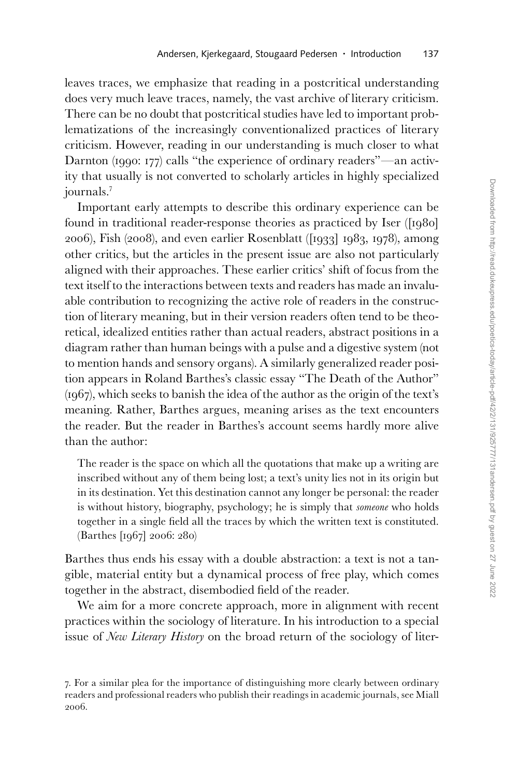leaves traces, we emphasize that reading in a postcritical understanding does very much leave traces, namely, the vast archive of literary criticism. There can be no doubt that postcritical studies have led to important problematizations of the increasingly conventionalized practices of literary criticism. However, reading in our understanding is much closer to what Darnton (1990: 177) calls "the experience of ordinary readers"—an activity that usually is not converted to scholarly articles in highly specialized journals.7

Important early attempts to describe this ordinary experience can be found in traditional reader-response theories as practiced by Iser ([1980] 2006), Fish (2008), and even earlier Rosenblatt ([1933] 1983, 1978), among other critics, but the articles in the present issue are also not particularly aligned with their approaches. These earlier critics' shift of focus from the text itself to the interactions between texts and readers has made an invaluable contribution to recognizing the active role of readers in the construction of literary meaning, but in their version readers often tend to be theoretical, idealized entities rather than actual readers, abstract positions in a diagram rather than human beings with a pulse and a digestive system (not to mention hands and sensory organs). A similarly generalized reader position appears in Roland Barthes's classic essay "The Death of the Author" (1967), which seeks to banish the idea of the author as the origin of the text's meaning. Rather, Barthes argues, meaning arises as the text encounters the reader. But the reader in Barthes's account seems hardly more alive than the author:

The reader is the space on which all the quotations that make up a writing are inscribed without any of them being lost; a text's unity lies not in its origin but in its destination. Yet this destination cannot any longer be personal: the reader is without history, biography, psychology; he is simply that *someone* who holds together in a single field all the traces by which the written text is constituted. (Barthes [1967] 2006: 280)

Barthes thus ends his essay with a double abstraction: a text is not a tangible, material entity but a dynamical process of free play, which comes together in the abstract, disembodied field of the reader.

We aim for a more concrete approach, more in alignment with recent practices within the sociology of literature. In his introduction to a special issue of *New Literary History* on the broad return of the sociology of liter-

<sup>7.</sup> For a similar plea for the importance of distinguishing more clearly between ordinary readers and professional readers who publish their readings in academic journals, see Miall 2006.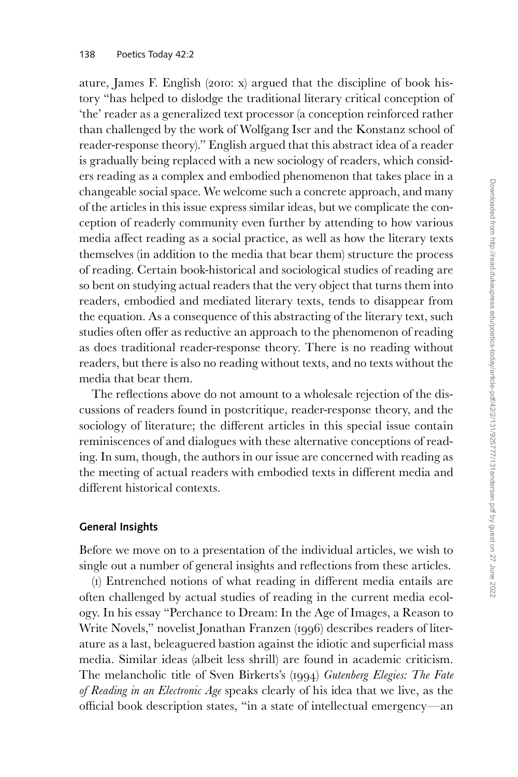ature, James F. English (2010: x) argued that the discipline of book history "has helped to dislodge the traditional literary critical conception of 'the' reader as a generalized text processor (a conception reinforced rather than challenged by the work of Wolfgang Iser and the Konstanz school of reader-response theory)." English argued that this abstract idea of a reader is gradually being replaced with a new sociology of readers, which considers reading as a complex and embodied phenomenon that takes place in a changeable social space. We welcome such a concrete approach, and many of the articles in this issue express similar ideas, but we complicate the conception of readerly community even further by attending to how various media affect reading as a social practice, as well as how the literary texts themselves (in addition to the media that bear them) structure the process of reading. Certain book-historical and sociological studies of reading are so bent on studying actual readers that the very object that turns them into readers, embodied and mediated literary texts, tends to disappear from the equation. As a consequence of this abstracting of the literary text, such studies often offer as reductive an approach to the phenomenon of reading as does traditional reader-response theory. There is no reading without readers, but there is also no reading without texts, and no texts without the media that bear them.

The reflections above do not amount to a wholesale rejection of the discussions of readers found in postcritique, reader-response theory, and the sociology of literature; the different articles in this special issue contain reminiscences of and dialogues with these alternative conceptions of reading. In sum, though, the authors in our issue are concerned with reading as the meeting of actual readers with embodied texts in different media and different historical contexts.

#### **General Insights**

Before we move on to a presentation of the individual articles, we wish to single out a number of general insights and reflections from these articles.

(1) Entrenched notions of what reading in different media entails are often challenged by actual studies of reading in the current media ecology. In his essay "Perchance to Dream: In the Age of Images, a Reason to Write Novels," novelist Jonathan Franzen (1996) describes readers of literature as a last, beleaguered bastion against the idiotic and superficial mass media. Similar ideas (albeit less shrill) are found in academic criticism. The melancholic title of Sven Birkerts's (1994) *Gutenberg Elegies: The Fate of Reading in an Electronic Age* speaks clearly of his idea that we live, as the official book description states, "in a state of intellectual emergency—an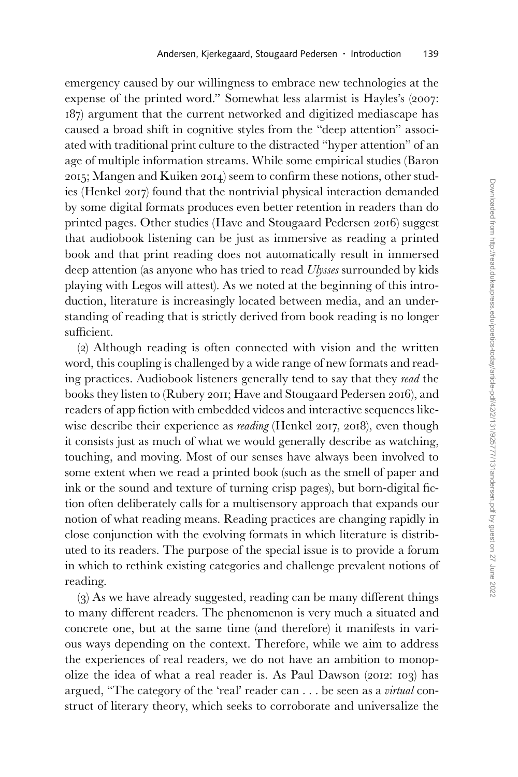emergency caused by our willingness to embrace new technologies at the expense of the printed word." Somewhat less alarmist is Hayles's (2007: 187) argument that the current networked and digitized mediascape has caused a broad shift in cognitive styles from the "deep attention" associated with traditional print culture to the distracted "hyper attention" of an age of multiple information streams. While some empirical studies (Baron 2015; Mangen and Kuiken 2014) seem to confirm these notions, other studies (Henkel 2017) found that the nontrivial physical interaction demanded by some digital formats produces even better retention in readers than do printed pages. Other studies (Have and Stougaard Pedersen 2016) suggest that audiobook listening can be just as immersive as reading a printed book and that print reading does not automatically result in immersed deep attention (as anyone who has tried to read *Ulysses* surrounded by kids playing with Legos will attest). As we noted at the beginning of this introduction, literature is increasingly located between media, and an understanding of reading that is strictly derived from book reading is no longer sufficient.

(2) Although reading is often connected with vision and the written word, this coupling is challenged by a wide range of new formats and reading practices. Audiobook listeners generally tend to say that they *read* the books they listen to (Rubery 2011; Have and Stougaard Pedersen 2016), and readers of app fiction with embedded videos and interactive sequences likewise describe their experience as *reading* (Henkel 2017, 2018), even though it consists just as much of what we would generally describe as watching, touching, and moving. Most of our senses have always been involved to some extent when we read a printed book (such as the smell of paper and ink or the sound and texture of turning crisp pages), but born-digital fiction often deliberately calls for a multisensory approach that expands our notion of what reading means. Reading practices are changing rapidly in close conjunction with the evolving formats in which literature is distributed to its readers. The purpose of the special issue is to provide a forum in which to rethink existing categories and challenge prevalent notions of reading.

(3) As we have already suggested, reading can be many different things to many different readers. The phenomenon is very much a situated and concrete one, but at the same time (and therefore) it manifests in various ways depending on the context. Therefore, while we aim to address the experiences of real readers, we do not have an ambition to monopolize the idea of what a real reader is. As Paul Dawson (2012: 103) has argued, "The category of the 'real' reader can . . . be seen as a *virtual* construct of literary theory, which seeks to corroborate and universalize the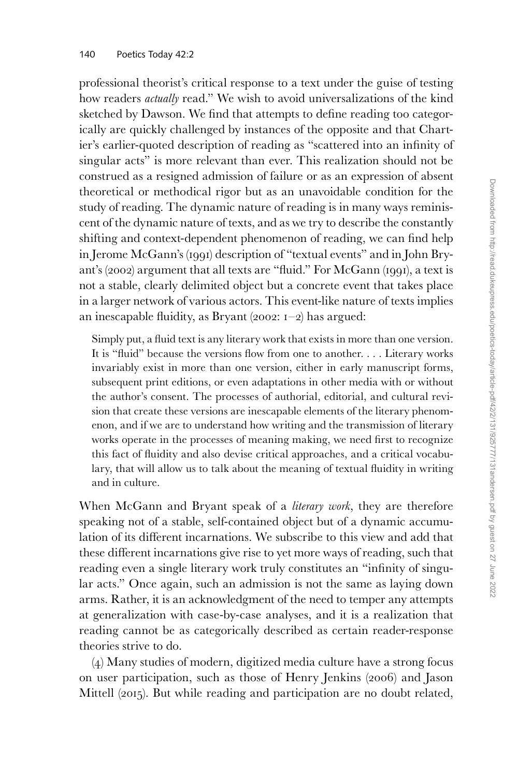professional theorist's critical response to a text under the guise of testing how readers *actually* read." We wish to avoid universalizations of the kind sketched by Dawson. We find that attempts to define reading too categorically are quickly challenged by instances of the opposite and that Chartier's earlier-quoted description of reading as "scattered into an infinity of singular acts" is more relevant than ever. This realization should not be construed as a resigned admission of failure or as an expression of absent theoretical or methodical rigor but as an unavoidable condition for the study of reading. The dynamic nature of reading is in many ways reminiscent of the dynamic nature of texts, and as we try to describe the constantly shifting and context-dependent phenomenon of reading, we can find help in Jerome McGann's (1991) description of "textual events" and in John Bryant's (2002) argument that all texts are "fluid." For McGann (1991), a text is not a stable, clearly delimited object but a concrete event that takes place in a larger network of various actors. This event-like nature of texts implies an inescapable fluidity, as Bryant (2002:  $I-2$ ) has argued:

Simply put, a fluid text is any literary work that exists in more than one version. It is "fluid" because the versions flow from one to another. . . . Literary works invariably exist in more than one version, either in early manuscript forms, subsequent print editions, or even adaptations in other media with or without the author's consent. The processes of authorial, editorial, and cultural revision that create these versions are inescapable elements of the literary phenomenon, and if we are to understand how writing and the transmission of literary works operate in the processes of meaning making, we need first to recognize this fact of fluidity and also devise critical approaches, and a critical vocabulary, that will allow us to talk about the meaning of textual fluidity in writing and in culture.

When McGann and Bryant speak of a *literary work*, they are therefore speaking not of a stable, self-contained object but of a dynamic accumulation of its different incarnations. We subscribe to this view and add that these different incarnations give rise to yet more ways of reading, such that reading even a single literary work truly constitutes an "infinity of singular acts." Once again, such an admission is not the same as laying down arms. Rather, it is an acknowledgment of the need to temper any attempts at generalization with case-by-case analyses, and it is a realization that reading cannot be as categorically described as certain reader-response theories strive to do.

(4) Many studies of modern, digitized media culture have a strong focus on user participation, such as those of Henry Jenkins (2006) and Jason Mittell (2015). But while reading and participation are no doubt related,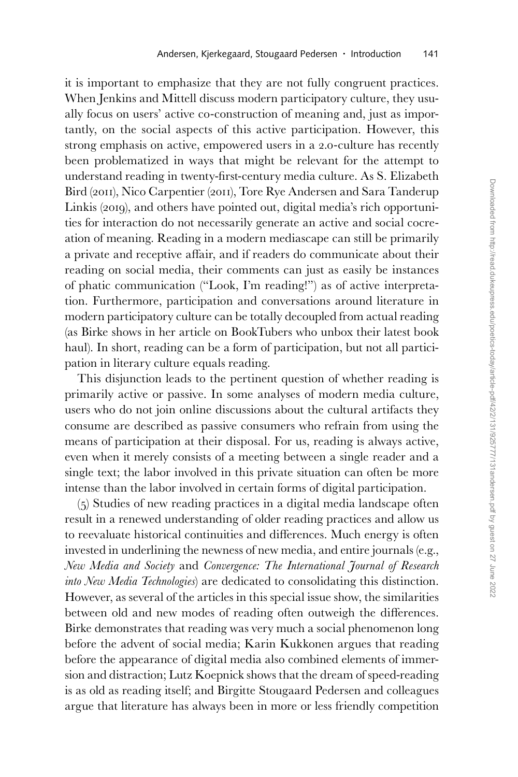it is important to emphasize that they are not fully congruent practices. When Jenkins and Mittell discuss modern participatory culture, they usually focus on users' active co-construction of meaning and, just as importantly, on the social aspects of this active participation. However, this strong emphasis on active, empowered users in a 2.0-culture has recently been problematized in ways that might be relevant for the attempt to understand reading in twenty-first-century media culture. As S. Elizabeth Bird (2011), Nico Carpentier (2011), Tore Rye Andersen and Sara Tanderup Linkis (2019), and others have pointed out, digital media's rich opportunities for interaction do not necessarily generate an active and social cocreation of meaning. Reading in a modern mediascape can still be primarily a private and receptive affair, and if readers do communicate about their reading on social media, their comments can just as easily be instances of phatic communication ("Look, I'm reading!") as of active interpretation. Furthermore, participation and conversations around literature in modern participatory culture can be totally decoupled from actual reading (as Birke shows in her article on BookTubers who unbox their latest book haul). In short, reading can be a form of participation, but not all participation in literary culture equals reading.

This disjunction leads to the pertinent question of whether reading is primarily active or passive. In some analyses of modern media culture, users who do not join online discussions about the cultural artifacts they consume are described as passive consumers who refrain from using the means of participation at their disposal. For us, reading is always active, even when it merely consists of a meeting between a single reader and a single text; the labor involved in this private situation can often be more intense than the labor involved in certain forms of digital participation.

(5) Studies of new reading practices in a digital media landscape often result in a renewed understanding of older reading practices and allow us to reevaluate historical continuities and differences. Much energy is often invested in underlining the newness of new media, and entire journals (e.g., *New Media and Society* and *Convergence: The International Journal of Research into New Media Technologies*) are dedicated to consolidating this distinction. However, as several of the articles in this special issue show, the similarities between old and new modes of reading often outweigh the differences. Birke demonstrates that reading was very much a social phenomenon long before the advent of social media; Karin Kukkonen argues that reading before the appearance of digital media also combined elements of immersion and distraction; Lutz Koepnick shows that the dream of speed-reading is as old as reading itself; and Birgitte Stougaard Pedersen and colleagues argue that literature has always been in more or less friendly competition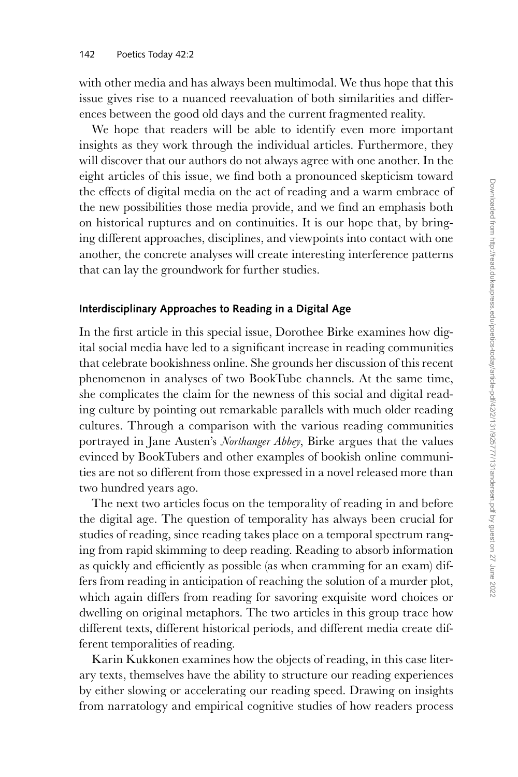with other media and has always been multimodal. We thus hope that this issue gives rise to a nuanced reevaluation of both similarities and differences between the good old days and the current fragmented reality.

We hope that readers will be able to identify even more important insights as they work through the individual articles. Furthermore, they will discover that our authors do not always agree with one another. In the eight articles of this issue, we find both a pronounced skepticism toward the effects of digital media on the act of reading and a warm embrace of the new possibilities those media provide, and we find an emphasis both on historical ruptures and on continuities. It is our hope that, by bringing different approaches, disciplines, and viewpoints into contact with one another, the concrete analyses will create interesting interference patterns that can lay the groundwork for further studies.

## **Interdisciplinary Approaches to Reading in a Digital Age**

In the first article in this special issue, Dorothee Birke examines how digital social media have led to a significant increase in reading communities that celebrate bookishness online. She grounds her discussion of this recent phenomenon in analyses of two BookTube channels. At the same time, she complicates the claim for the newness of this social and digital reading culture by pointing out remarkable parallels with much older reading cultures. Through a comparison with the various reading communities portrayed in Jane Austen's *Northanger Abbey*, Birke argues that the values evinced by BookTubers and other examples of bookish online communities are not so different from those expressed in a novel released more than two hundred years ago.

The next two articles focus on the temporality of reading in and before the digital age. The question of temporality has always been crucial for studies of reading, since reading takes place on a temporal spectrum ranging from rapid skimming to deep reading. Reading to absorb information as quickly and efficiently as possible (as when cramming for an exam) differs from reading in anticipation of reaching the solution of a murder plot, which again differs from reading for savoring exquisite word choices or dwelling on original metaphors. The two articles in this group trace how different texts, different historical periods, and different media create different temporalities of reading.

Karin Kukkonen examines how the objects of reading, in this case literary texts, themselves have the ability to structure our reading experiences by either slowing or accelerating our reading speed. Drawing on insights from narratology and empirical cognitive studies of how readers process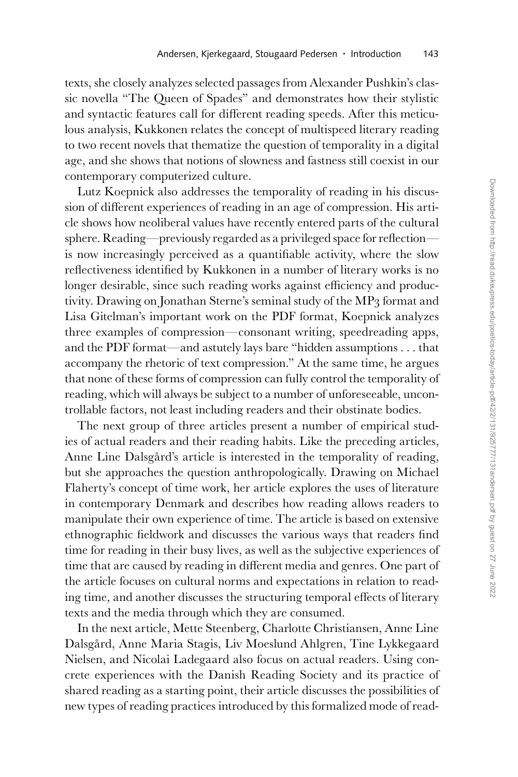texts, she closely analyzes selected passages from Alexander Pushkin's classic novella "The Queen of Spades" and demonstrates how their stylistic and syntactic features call for different reading speeds. After this meticulous analysis, Kukkonen relates the concept of multispeed literary reading to two recent novels that thematize the question of temporality in a digital age, and she shows that notions of slowness and fastness still coexist in our contemporary computerized culture.

Lutz Koepnick also addresses the temporality of reading in his discussion of different experiences of reading in an age of compression. His article shows how neoliberal values have recently entered parts of the cultural sphere. Reading—previously regarded as a privileged space for reflection is now increasingly perceived as a quantifiable activity, where the slow reflectiveness identified by Kukkonen in a number of literary works is no longer desirable, since such reading works against efficiency and productivity. Drawing on Jonathan Sterne's seminal study of the MP3 format and Lisa Gitelman's important work on the PDF format, Koepnick analyzes three examples of compression—consonant writing, speedreading apps, and the PDF format—and astutely lays bare "hidden assumptions . . . that accompany the rhetoric of text compression." At the same time, he argues that none of these forms of compression can fully control the temporality of reading, which will always be subject to a number of unforeseeable, uncontrollable factors, not least including readers and their obstinate bodies.

The next group of three articles present a number of empirical studies of actual readers and their reading habits. Like the preceding articles, Anne Line Dalsgård's article is interested in the temporality of reading, but she approaches the question anthropologically. Drawing on Michael Flaherty's concept of time work, her article explores the uses of literature in contemporary Denmark and describes how reading allows readers to manipulate their own experience of time. The article is based on extensive ethnographic fieldwork and discusses the various ways that readers find time for reading in their busy lives, as well as the subjective experiences of time that are caused by reading in different media and genres. One part of the article focuses on cultural norms and expectations in relation to reading time, and another discusses the structuring temporal effects of literary texts and the media through which they are consumed.

In the next article, Mette Steenberg, Charlotte Christiansen, Anne Line Dalsgård, Anne Maria Stagis, Liv Moeslund Ahlgren, Tine Lykkegaard Nielsen, and Nicolai Ladegaard also focus on actual readers. Using concrete experiences with the Danish Reading Society and its practice of shared reading as a starting point, their article discusses the possibilities of new types of reading practices introduced by this formalized mode of read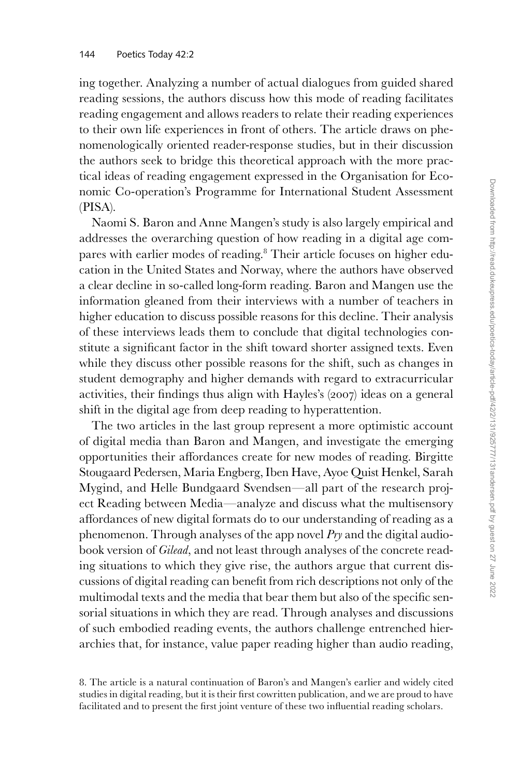ing together. Analyzing a number of actual dialogues from guided shared reading sessions, the authors discuss how this mode of reading facilitates reading engagement and allows readers to relate their reading experiences to their own life experiences in front of others. The article draws on phenomenologically oriented reader-response studies, but in their discussion the authors seek to bridge this theoretical approach with the more practical ideas of reading engagement expressed in the Organisation for Economic Co-operation's Programme for International Student Assessment (PISA).

Naomi S. Baron and Anne Mangen's study is also largely empirical and addresses the overarching question of how reading in a digital age compares with earlier modes of reading.<sup>8</sup> Their article focuses on higher education in the United States and Norway, where the authors have observed a clear decline in so-called long-form reading. Baron and Mangen use the information gleaned from their interviews with a number of teachers in higher education to discuss possible reasons for this decline. Their analysis of these interviews leads them to conclude that digital technologies constitute a significant factor in the shift toward shorter assigned texts. Even while they discuss other possible reasons for the shift, such as changes in student demography and higher demands with regard to extracurricular activities, their findings thus align with Hayles's (2007) ideas on a general shift in the digital age from deep reading to hyperattention.

The two articles in the last group represent a more optimistic account of digital media than Baron and Mangen, and investigate the emerging opportunities their affordances create for new modes of reading. Birgitte Stougaard Pedersen, Maria Engberg, Iben Have, Ayoe Quist Henkel, Sarah Mygind, and Helle Bundgaard Svendsen—all part of the research project Reading between Media—analyze and discuss what the multisensory affordances of new digital formats do to our understanding of reading as a phenomenon. Through analyses of the app novel *Pry* and the digital audiobook version of *Gilead*, and not least through analyses of the concrete reading situations to which they give rise, the authors argue that current discussions of digital reading can benefit from rich descriptions not only of the multimodal texts and the media that bear them but also of the specific sensorial situations in which they are read. Through analyses and discussions of such embodied reading events, the authors challenge entrenched hierarchies that, for instance, value paper reading higher than audio reading,

<sup>8.</sup> The article is a natural continuation of Baron's and Mangen's earlier and widely cited studies in digital reading, but it is their first cowritten publication, and we are proud to have facilitated and to present the first joint venture of these two influential reading scholars.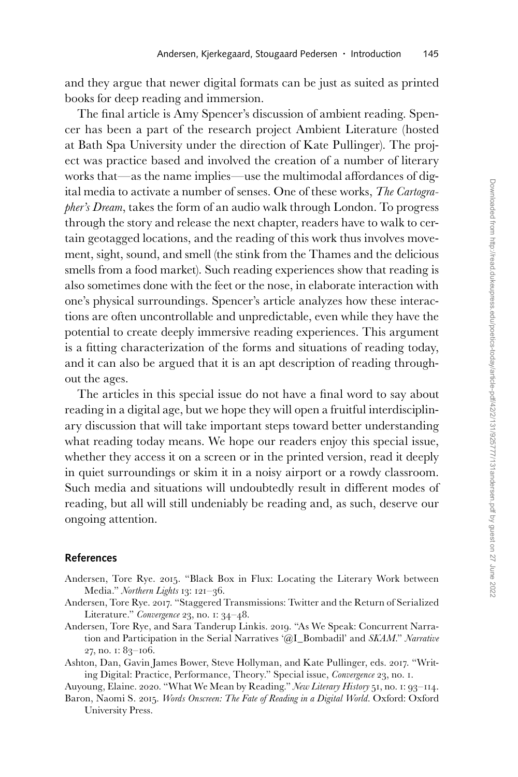and they argue that newer digital formats can be just as suited as printed books for deep reading and immersion.

The final article is Amy Spencer's discussion of ambient reading. Spencer has been a part of the research project Ambient Literature (hosted at Bath Spa University under the direction of Kate Pullinger). The project was practice based and involved the creation of a number of literary works that—as the name implies—use the multimodal affordances of digital media to activate a number of senses. One of these works, *The Cartographer's Dream*, takes the form of an audio walk through London. To progress through the story and release the next chapter, readers have to walk to certain geotagged locations, and the reading of this work thus involves movement, sight, sound, and smell (the stink from the Thames and the delicious smells from a food market). Such reading experiences show that reading is also sometimes done with the feet or the nose, in elaborate interaction with one's physical surroundings. Spencer's article analyzes how these interactions are often uncontrollable and unpredictable, even while they have the potential to create deeply immersive reading experiences. This argument is a fitting characterization of the forms and situations of reading today, and it can also be argued that it is an apt description of reading throughout the ages.

The articles in this special issue do not have a final word to say about reading in a digital age, but we hope they will open a fruitful interdisciplinary discussion that will take important steps toward better understanding what reading today means. We hope our readers enjoy this special issue, whether they access it on a screen or in the printed version, read it deeply in quiet surroundings or skim it in a noisy airport or a rowdy classroom. Such media and situations will undoubtedly result in different modes of reading, but all will still undeniably be reading and, as such, deserve our ongoing attention.

### **References**

- Andersen, Tore Rye. 2015. "Black Box in Flux: Locating the Literary Work between Media." *Northern Lights* 13: 121–36.
- Andersen, Tore Rye. 2017. "Staggered Transmissions: Twitter and the Return of Serialized Literature." *Convergence* 23, no. 1: 34–48.
- Andersen, Tore Rye, and Sara Tanderup Linkis. 2019. "As We Speak: Concurrent Narration and Participation in the Serial Narratives '@I\_Bombadil' and *SKAM*." *Narrative* 27, no. 1: 83–106.
- Ashton, Dan, Gavin James Bower, Steve Hollyman, and Kate Pullinger, eds. 2017. "Writing Digital: Practice, Performance, Theory." Special issue, *Convergence* 23, no. 1.
- Auyoung, Elaine. 2020. "What We Mean by Reading." *New Literary History* 51, no. 1: 93–114. Baron, Naomi S. 2015. *Words Onscreen: The Fate of Reading in a Digital World*. Oxford: Oxford University Press.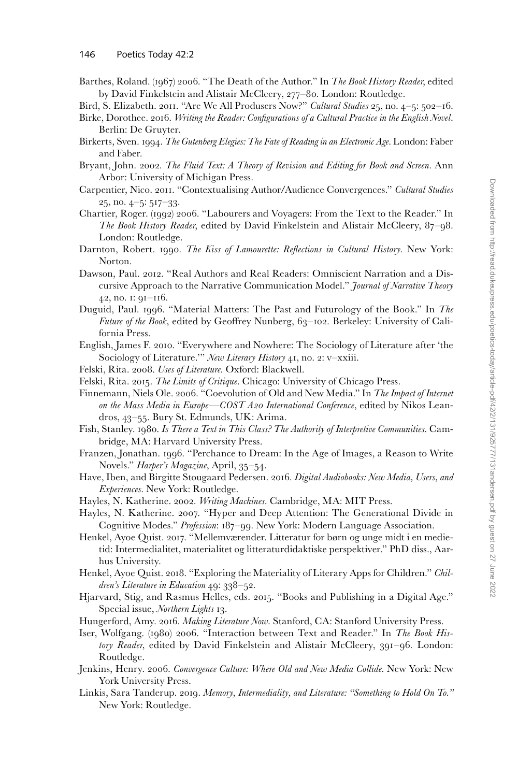- Barthes, Roland. (1967) 2006. "The Death of the Author." In *The Book History Reader*, edited by David Finkelstein and Alistair McCleery, 277–80. London: Routledge.
- Bird, S. Elizabeth. 2011. "Are We All Produsers Now?" *Cultural Studies* 25, no. 4–5: 502–16. Birke, Dorothee. 2016. *Writing the Reader: Configurations of a Cultural Practice in the English Novel*.
- Berlin: De Gruyter. Birkerts, Sven. 1994. *The Gutenberg Elegies: The Fate of Reading in an Electronic Age*. London: Faber and Faber.
- Bryant, John. 2002. *The Fluid Text: A Theory of Revision and Editing for Book and Screen*. Ann Arbor: University of Michigan Press.
- Carpentier, Nico. 2011. "Contextualising Author/Audience Convergences." *Cultural Studies*  25, no. 4–5: 517–33.
- Chartier, Roger. (1992) 2006. "Labourers and Voyagers: From the Text to the Reader." In *The Book History Reader*, edited by David Finkelstein and Alistair McCleery, 87–98. London: Routledge.
- Darnton, Robert. 1990. *The Kiss of Lamourette: Reflections in Cultural History*. New York: Norton.
- Dawson, Paul. 2012. "Real Authors and Real Readers: Omniscient Narration and a Discursive Approach to the Narrative Communication Model." *Journal of Narrative Theory* 42, no. 1: 91–116.
- Duguid, Paul. 1996. "Material Matters: The Past and Futurology of the Book." In *The Future of the Book*, edited by Geoffrey Nunberg, 63–102. Berkeley: University of California Press.
- English, James F. 2010. "Everywhere and Nowhere: The Sociology of Literature after 'the Sociology of Literature.'" *New Literary History* 41, no. 2: v–xxiii.
- Felski, Rita. 2008. *Uses of Literature*. Oxford: Blackwell.
- Felski, Rita. 2015. *The Limits of Critique*. Chicago: University of Chicago Press.
- Finnemann, Niels Ole. 2006. "Coevolution of Old and New Media." In *The Impact of Internet on the Mass Media in Europe—COST A20 International Conference*, edited by Nikos Leandros, 43–55. Bury St. Edmunds, UK: Arima.
- Fish, Stanley. 1980. *Is There a Text in This Class? The Authority of Interpretive Communities*. Cambridge, MA: Harvard University Press.
- Franzen, Jonathan. 1996. "Perchance to Dream: In the Age of Images, a Reason to Write Novels." *Harper's Magazine*, April, 35–54.
- Have, Iben, and Birgitte Stougaard Pedersen. 2016. *Digital Audiobooks: New Media, Users, and Experiences*. New York: Routledge.
- Hayles, N. Katherine. 2002. *Writing Machines*. Cambridge, MA: MIT Press.
- Hayles, N. Katherine. 2007. "Hyper and Deep Attention: The Generational Divide in Cognitive Modes." *Profession*: 187–99. New York: Modern Language Association.
- Henkel, Ayoe Quist. 2017. "Mellemværender. Litteratur for børn og unge midt i en medietid: Intermedialitet, materialitet og litteraturdidaktiske perspektiver." PhD diss., Aarhus University.
- Henkel, Ayoe Quist. 2018. "Exploring the Materiality of Literary Apps for Children." *Children's Literature in Education* 49: 338–52.
- Hjarvard, Stig, and Rasmus Helles, eds. 2015. "Books and Publishing in a Digital Age." Special issue, *Northern Lights* 13.
- Hungerford, Amy. 2016. *Making Literature Now*. Stanford, CA: Stanford University Press.
- Iser, Wolfgang. (1980) 2006. "Interaction between Text and Reader." In *The Book History Reader*, edited by David Finkelstein and Alistair McCleery, 391–96. London: Routledge.
- Jenkins, Henry. 2006. *Convergence Culture: Where Old and New Media Collide*. New York: New York University Press.
- Linkis, Sara Tanderup. 2019. *Memory, Intermediality, and Literature: "Something to Hold On To."* New York: Routledge.